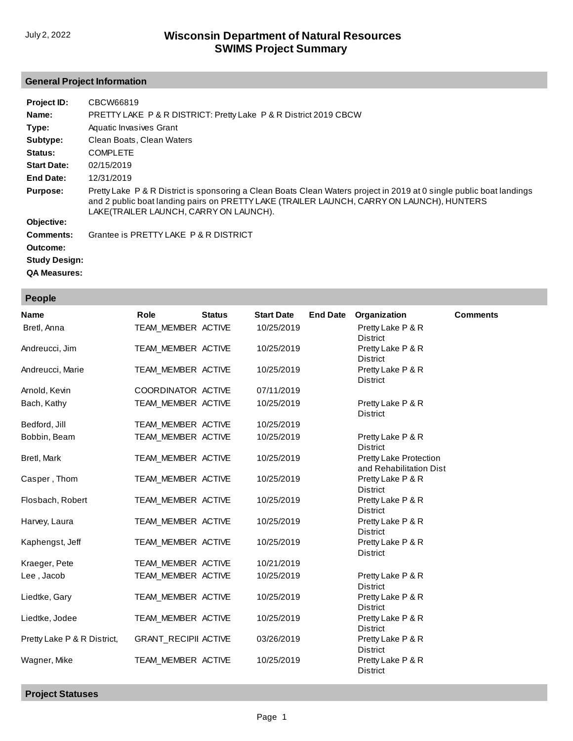## **General Project Information**

| Project ID:          | CBCW66819                                                                                                                                                                                                                                                   |
|----------------------|-------------------------------------------------------------------------------------------------------------------------------------------------------------------------------------------------------------------------------------------------------------|
| Name:                | <b>PRETTY LAKE P &amp; R DISTRICT: Pretty Lake P &amp; R District 2019 CBCW</b>                                                                                                                                                                             |
| Type:                | Aquatic Invasives Grant                                                                                                                                                                                                                                     |
| Subtype:             | Clean Boats, Clean Waters                                                                                                                                                                                                                                   |
| Status:              | <b>COMPLETE</b>                                                                                                                                                                                                                                             |
| <b>Start Date:</b>   | 02/15/2019                                                                                                                                                                                                                                                  |
| End Date:            | 12/31/2019                                                                                                                                                                                                                                                  |
| <b>Purpose:</b>      | Pretty Lake P & R District is sponsoring a Clean Boats Clean Waters project in 2019 at 0 single public boat landings<br>and 2 public boat landing pairs on PRETTY LAKE (TRAILER LAUNCH, CARRY ON LAUNCH), HUNTERS<br>LAKE(TRAILER LAUNCH, CARRY ON LAUNCH). |
| Objective:           |                                                                                                                                                                                                                                                             |
| Comments:            | Grantee is PRETTY LAKE P & R DISTRICT                                                                                                                                                                                                                       |
| Outcome:             |                                                                                                                                                                                                                                                             |
| <b>Study Design:</b> |                                                                                                                                                                                                                                                             |

**QA Measures:**

**People**

| <b>Name</b>                 | Role                        | <b>Status</b> | <b>Start Date</b> | <b>End Date</b> | Organization                                             | <b>Comments</b> |
|-----------------------------|-----------------------------|---------------|-------------------|-----------------|----------------------------------------------------------|-----------------|
| Bretl, Anna                 | TEAM_MEMBER ACTIVE          |               | 10/25/2019        |                 | Pretty Lake P & R<br><b>District</b>                     |                 |
| Andreucci, Jim              | TEAM_MEMBER ACTIVE          |               | 10/25/2019        |                 | Pretty Lake P & R<br><b>District</b>                     |                 |
| Andreucci, Marie            | TEAM_MEMBER ACTIVE          |               | 10/25/2019        |                 | Pretty Lake P & R<br><b>District</b>                     |                 |
| Arnold, Kevin               | COORDINATOR ACTIVE          |               | 07/11/2019        |                 |                                                          |                 |
| Bach, Kathy                 | TEAM MEMBER ACTIVE          |               | 10/25/2019        |                 | Pretty Lake P & R<br><b>District</b>                     |                 |
| Bedford, Jill               | TEAM MEMBER ACTIVE          |               | 10/25/2019        |                 |                                                          |                 |
| Bobbin, Beam                | TEAM_MEMBER ACTIVE          |               | 10/25/2019        |                 | Pretty Lake P & R<br><b>District</b>                     |                 |
| Bretl, Mark                 | TEAM_MEMBER ACTIVE          |               | 10/25/2019        |                 | <b>Pretty Lake Protection</b><br>and Rehabilitation Dist |                 |
| Casper, Thom                | TEAM MEMBER ACTIVE          |               | 10/25/2019        |                 | Pretty Lake P & R<br>District                            |                 |
| Flosbach, Robert            | TEAM_MEMBER ACTIVE          |               | 10/25/2019        |                 | Pretty Lake P & R<br>District                            |                 |
| Harvey, Laura               | TEAM MEMBER ACTIVE          |               | 10/25/2019        |                 | Pretty Lake P & R<br>District                            |                 |
| Kaphengst, Jeff             | TEAM MEMBER ACTIVE          |               | 10/25/2019        |                 | Pretty Lake P & R<br><b>District</b>                     |                 |
| Kraeger, Pete               | TEAM MEMBER ACTIVE          |               | 10/21/2019        |                 |                                                          |                 |
| Lee, Jacob                  | TEAM_MEMBER ACTIVE          |               | 10/25/2019        |                 | Pretty Lake P & R<br><b>District</b>                     |                 |
| Liedtke, Gary               | TEAM_MEMBER ACTIVE          |               | 10/25/2019        |                 | Pretty Lake P & R<br>District                            |                 |
| Liedtke, Jodee              | TEAM_MEMBER ACTIVE          |               | 10/25/2019        |                 | Pretty Lake P & R<br>District                            |                 |
| Pretty Lake P & R District, | <b>GRANT_RECIPII ACTIVE</b> |               | 03/26/2019        |                 | Pretty Lake P & R<br>District                            |                 |
| Wagner, Mike                | TEAM MEMBER ACTIVE          |               | 10/25/2019        |                 | Pretty Lake P & R<br>District                            |                 |

**Project Statuses**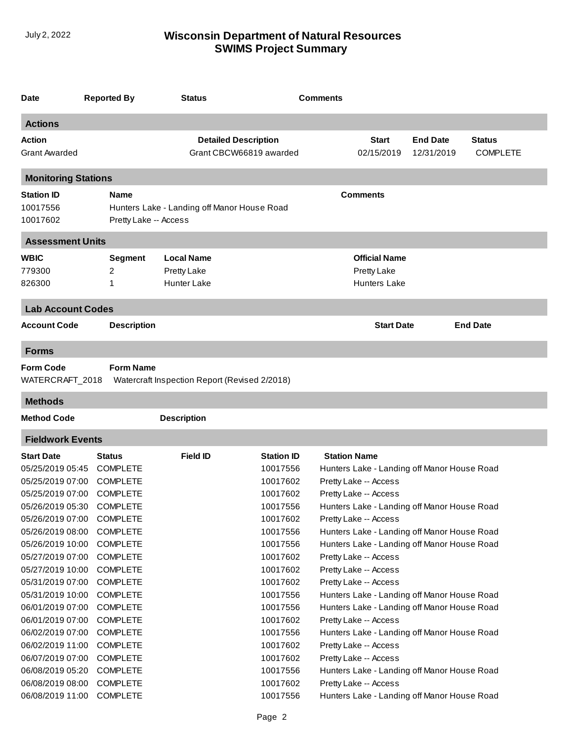| Date                                                     | <b>Reported By</b>                                    | <b>Status</b>                                                        |                                                        | <b>Comments</b>     |                                                                         |                                                                                            |                                  |
|----------------------------------------------------------|-------------------------------------------------------|----------------------------------------------------------------------|--------------------------------------------------------|---------------------|-------------------------------------------------------------------------|--------------------------------------------------------------------------------------------|----------------------------------|
| <b>Actions</b>                                           |                                                       |                                                                      |                                                        |                     |                                                                         |                                                                                            |                                  |
| Action<br><b>Grant Awarded</b>                           |                                                       |                                                                      | <b>Detailed Description</b><br>Grant CBCW66819 awarded |                     | <b>Start</b><br>02/15/2019                                              | <b>End Date</b><br>12/31/2019                                                              | <b>Status</b><br><b>COMPLETE</b> |
| <b>Monitoring Stations</b>                               |                                                       |                                                                      |                                                        |                     |                                                                         |                                                                                            |                                  |
| <b>Station ID</b><br>10017556<br>10017602                | <b>Name</b>                                           | Hunters Lake - Landing off Manor House Road<br>Pretty Lake -- Access |                                                        |                     | Comments                                                                |                                                                                            |                                  |
| <b>Assessment Units</b>                                  |                                                       |                                                                      |                                                        |                     |                                                                         |                                                                                            |                                  |
| <b>WBIC</b><br>779300<br>826300                          | Segment<br>2<br>1                                     | <b>Local Name</b><br><b>Pretty Lake</b><br><b>Hunter Lake</b>        |                                                        |                     | <b>Official Name</b><br>Pretty Lake<br><b>Hunters Lake</b>              |                                                                                            |                                  |
| <b>Lab Account Codes</b>                                 |                                                       |                                                                      |                                                        |                     |                                                                         |                                                                                            |                                  |
| <b>Account Code</b>                                      | <b>Description</b>                                    |                                                                      |                                                        |                     | <b>Start Date</b>                                                       |                                                                                            | <b>End Date</b>                  |
| <b>Forms</b>                                             |                                                       |                                                                      |                                                        |                     |                                                                         |                                                                                            |                                  |
| <b>Form Code</b><br>WATERCRAFT_2018                      | <b>Form Name</b>                                      | Watercraft Inspection Report (Revised 2/2018)                        |                                                        |                     |                                                                         |                                                                                            |                                  |
| <b>Methods</b>                                           |                                                       |                                                                      |                                                        |                     |                                                                         |                                                                                            |                                  |
| <b>Method Code</b>                                       |                                                       | <b>Description</b>                                                   |                                                        |                     |                                                                         |                                                                                            |                                  |
| <b>Fieldwork Events</b>                                  |                                                       |                                                                      |                                                        |                     |                                                                         |                                                                                            |                                  |
| <b>Start Date</b><br>05/25/2019 05:45                    | Status<br><b>COMPLETE</b>                             | <b>Field ID</b>                                                      | <b>Station ID</b><br>10017556                          | <b>Station Name</b> |                                                                         | Hunters Lake - Landing off Manor House Road                                                |                                  |
| 05/25/2019 07:00<br>05/25/2019 07:00                     | <b>COMPLETE</b><br><b>COMPLETE</b>                    |                                                                      | 10017602<br>10017602                                   |                     | Pretty Lake -- Access<br>Pretty Lake -- Access                          |                                                                                            |                                  |
| 05/26/2019 05:30 COMPLETE<br>05/26/2019 07:00            | <b>COMPLETE</b>                                       |                                                                      | 10017556<br>10017602                                   |                     | Pretty Lake -- Access                                                   | Hunters Lake - Landing off Manor House Road                                                |                                  |
| 05/26/2019 08:00<br>05/26/2019 10:00                     | <b>COMPLETE</b><br><b>COMPLETE</b>                    |                                                                      | 10017556<br>10017556                                   |                     |                                                                         | Hunters Lake - Landing off Manor House Road<br>Hunters Lake - Landing off Manor House Road |                                  |
| 05/27/2019 07:00<br>05/27/2019 10:00<br>05/31/2019 07:00 | <b>COMPLETE</b><br><b>COMPLETE</b><br><b>COMPLETE</b> |                                                                      | 10017602<br>10017602<br>10017602                       |                     | Pretty Lake -- Access<br>Pretty Lake -- Access<br>Pretty Lake -- Access |                                                                                            |                                  |
| 05/31/2019 10:00<br>06/01/2019 07:00                     | <b>COMPLETE</b><br><b>COMPLETE</b>                    |                                                                      | 10017556<br>10017556                                   |                     |                                                                         | Hunters Lake - Landing off Manor House Road<br>Hunters Lake - Landing off Manor House Road |                                  |
| 06/01/2019 07:00<br>06/02/2019 07:00<br>06/02/2019 11:00 | <b>COMPLETE</b><br><b>COMPLETE</b><br><b>COMPLETE</b> |                                                                      | 10017602<br>10017556<br>10017602                       |                     | Pretty Lake -- Access<br>Pretty Lake -- Access                          | Hunters Lake - Landing off Manor House Road                                                |                                  |
| 06/07/2019 07:00<br>06/08/2019 05:20                     | <b>COMPLETE</b><br><b>COMPLETE</b>                    |                                                                      | 10017602<br>10017556                                   |                     | Pretty Lake -- Access                                                   | Hunters Lake - Landing off Manor House Road                                                |                                  |
| 06/08/2019 08:00<br>06/08/2019 11:00                     | <b>COMPLETE</b><br><b>COMPLETE</b>                    |                                                                      | 10017602<br>10017556                                   |                     | Pretty Lake -- Access                                                   | Hunters Lake - Landing off Manor House Road                                                |                                  |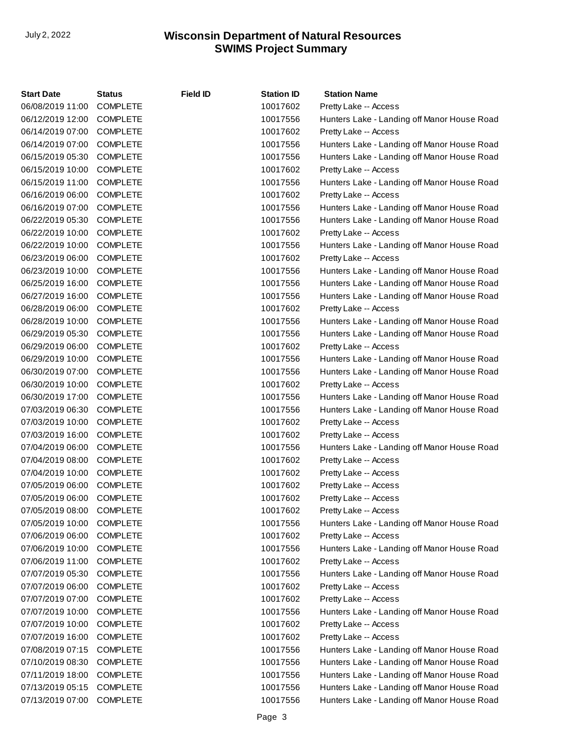| <b>Start Date</b> | <b>Status</b>   | Field ID | <b>Station ID</b> | <b>Station Name</b>                         |
|-------------------|-----------------|----------|-------------------|---------------------------------------------|
| 06/08/2019 11:00  | <b>COMPLETE</b> |          | 10017602          | Pretty Lake -- Access                       |
| 06/12/2019 12:00  | <b>COMPLETE</b> |          | 10017556          | Hunters Lake - Landing off Manor House Road |
| 06/14/2019 07:00  | <b>COMPLETE</b> |          | 10017602          | Pretty Lake -- Access                       |
| 06/14/2019 07:00  | <b>COMPLETE</b> |          | 10017556          | Hunters Lake - Landing off Manor House Road |
| 06/15/2019 05:30  | <b>COMPLETE</b> |          | 10017556          | Hunters Lake - Landing off Manor House Road |
| 06/15/2019 10:00  | <b>COMPLETE</b> |          | 10017602          | Pretty Lake -- Access                       |
| 06/15/2019 11:00  | <b>COMPLETE</b> |          | 10017556          | Hunters Lake - Landing off Manor House Road |
| 06/16/2019 06:00  | <b>COMPLETE</b> |          | 10017602          | Pretty Lake -- Access                       |
| 06/16/2019 07:00  | <b>COMPLETE</b> |          | 10017556          | Hunters Lake - Landing off Manor House Road |
| 06/22/2019 05:30  | <b>COMPLETE</b> |          | 10017556          | Hunters Lake - Landing off Manor House Road |
| 06/22/2019 10:00  | <b>COMPLETE</b> |          | 10017602          | Pretty Lake -- Access                       |
| 06/22/2019 10:00  | <b>COMPLETE</b> |          | 10017556          | Hunters Lake - Landing off Manor House Road |
| 06/23/2019 06:00  | <b>COMPLETE</b> |          | 10017602          | Pretty Lake -- Access                       |
| 06/23/2019 10:00  | <b>COMPLETE</b> |          | 10017556          | Hunters Lake - Landing off Manor House Road |
| 06/25/2019 16:00  | <b>COMPLETE</b> |          | 10017556          | Hunters Lake - Landing off Manor House Road |
| 06/27/2019 16:00  | <b>COMPLETE</b> |          | 10017556          | Hunters Lake - Landing off Manor House Road |
| 06/28/2019 06:00  | <b>COMPLETE</b> |          | 10017602          | Pretty Lake -- Access                       |
| 06/28/2019 10:00  | <b>COMPLETE</b> |          | 10017556          | Hunters Lake - Landing off Manor House Road |
| 06/29/2019 05:30  | <b>COMPLETE</b> |          | 10017556          | Hunters Lake - Landing off Manor House Road |
| 06/29/2019 06:00  | <b>COMPLETE</b> |          | 10017602          | Pretty Lake -- Access                       |
| 06/29/2019 10:00  | <b>COMPLETE</b> |          | 10017556          | Hunters Lake - Landing off Manor House Road |
| 06/30/2019 07:00  | <b>COMPLETE</b> |          | 10017556          | Hunters Lake - Landing off Manor House Road |
| 06/30/2019 10:00  | <b>COMPLETE</b> |          | 10017602          | Pretty Lake -- Access                       |
| 06/30/2019 17:00  | <b>COMPLETE</b> |          | 10017556          | Hunters Lake - Landing off Manor House Road |
| 07/03/2019 06:30  | <b>COMPLETE</b> |          | 10017556          | Hunters Lake - Landing off Manor House Road |
| 07/03/2019 10:00  | <b>COMPLETE</b> |          | 10017602          | Pretty Lake -- Access                       |
| 07/03/2019 16:00  | <b>COMPLETE</b> |          | 10017602          | Pretty Lake -- Access                       |
| 07/04/2019 06:00  | <b>COMPLETE</b> |          | 10017556          | Hunters Lake - Landing off Manor House Road |
| 07/04/2019 08:00  | <b>COMPLETE</b> |          | 10017602          | Pretty Lake -- Access                       |
| 07/04/2019 10:00  | <b>COMPLETE</b> |          | 10017602          | Pretty Lake -- Access                       |
| 07/05/2019 06:00  | <b>COMPLETE</b> |          | 10017602          | Pretty Lake -- Access                       |
| 07/05/2019 06:00  | <b>COMPLETE</b> |          | 10017602          | Pretty Lake -- Access                       |
| 07/05/2019 08:00  | <b>COMPLETE</b> |          | 10017602          | Pretty Lake -- Access                       |
| 07/05/2019 10:00  | <b>COMPLETE</b> |          | 10017556          | Hunters Lake - Landing off Manor House Road |
| 07/06/2019 06:00  | <b>COMPLETE</b> |          | 10017602          | Pretty Lake -- Access                       |
| 07/06/2019 10:00  | <b>COMPLETE</b> |          | 10017556          | Hunters Lake - Landing off Manor House Road |
| 07/06/2019 11:00  | <b>COMPLETE</b> |          | 10017602          | Pretty Lake -- Access                       |
| 07/07/2019 05:30  | <b>COMPLETE</b> |          | 10017556          | Hunters Lake - Landing off Manor House Road |
| 07/07/2019 06:00  | <b>COMPLETE</b> |          | 10017602          | Pretty Lake -- Access                       |
| 07/07/2019 07:00  | <b>COMPLETE</b> |          | 10017602          | Pretty Lake -- Access                       |
| 07/07/2019 10:00  | <b>COMPLETE</b> |          | 10017556          | Hunters Lake - Landing off Manor House Road |
| 07/07/2019 10:00  | <b>COMPLETE</b> |          | 10017602          | Pretty Lake -- Access                       |
| 07/07/2019 16:00  | <b>COMPLETE</b> |          | 10017602          | Pretty Lake -- Access                       |
| 07/08/2019 07:15  | <b>COMPLETE</b> |          | 10017556          | Hunters Lake - Landing off Manor House Road |
| 07/10/2019 08:30  | <b>COMPLETE</b> |          | 10017556          | Hunters Lake - Landing off Manor House Road |
| 07/11/2019 18:00  | <b>COMPLETE</b> |          | 10017556          | Hunters Lake - Landing off Manor House Road |
| 07/13/2019 05:15  | <b>COMPLETE</b> |          | 10017556          | Hunters Lake - Landing off Manor House Road |
| 07/13/2019 07:00  | <b>COMPLETE</b> |          | 10017556          | Hunters Lake - Landing off Manor House Road |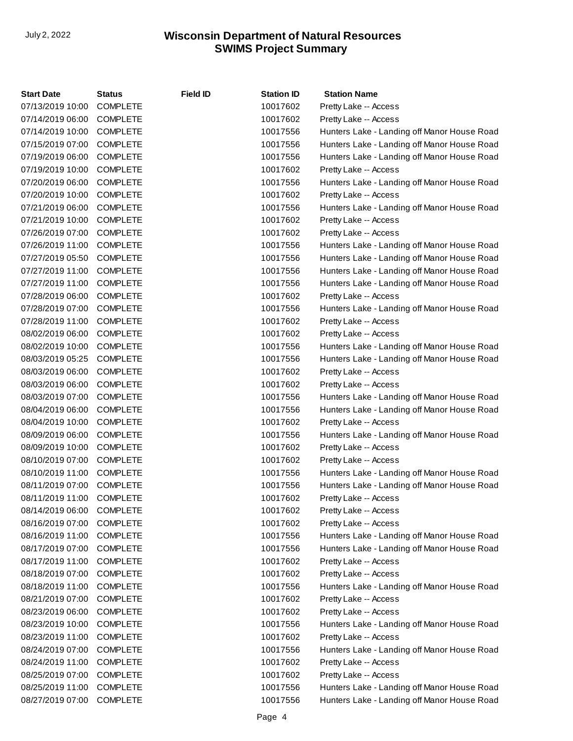| <b>Start Date</b> | Status          | <b>Field ID</b> | <b>Station ID</b> | <b>Station Name</b>                         |
|-------------------|-----------------|-----------------|-------------------|---------------------------------------------|
| 07/13/2019 10:00  | <b>COMPLETE</b> |                 | 10017602          | Pretty Lake -- Access                       |
| 07/14/2019 06:00  | <b>COMPLETE</b> |                 | 10017602          | Pretty Lake -- Access                       |
| 07/14/2019 10:00  | <b>COMPLETE</b> |                 | 10017556          | Hunters Lake - Landing off Manor House Road |
| 07/15/2019 07:00  | <b>COMPLETE</b> |                 | 10017556          | Hunters Lake - Landing off Manor House Road |
| 07/19/2019 06:00  | <b>COMPLETE</b> |                 | 10017556          | Hunters Lake - Landing off Manor House Road |
| 07/19/2019 10:00  | <b>COMPLETE</b> |                 | 10017602          | Pretty Lake -- Access                       |
| 07/20/2019 06:00  | <b>COMPLETE</b> |                 | 10017556          | Hunters Lake - Landing off Manor House Road |
| 07/20/2019 10:00  | <b>COMPLETE</b> |                 | 10017602          | Pretty Lake -- Access                       |
| 07/21/2019 06:00  | <b>COMPLETE</b> |                 | 10017556          | Hunters Lake - Landing off Manor House Road |
| 07/21/2019 10:00  | <b>COMPLETE</b> |                 | 10017602          | Pretty Lake -- Access                       |
| 07/26/2019 07:00  | <b>COMPLETE</b> |                 | 10017602          | Pretty Lake -- Access                       |
| 07/26/2019 11:00  | <b>COMPLETE</b> |                 | 10017556          | Hunters Lake - Landing off Manor House Road |
| 07/27/2019 05:50  | <b>COMPLETE</b> |                 | 10017556          | Hunters Lake - Landing off Manor House Road |
| 07/27/2019 11:00  | <b>COMPLETE</b> |                 | 10017556          | Hunters Lake - Landing off Manor House Road |
| 07/27/2019 11:00  | <b>COMPLETE</b> |                 | 10017556          | Hunters Lake - Landing off Manor House Road |
| 07/28/2019 06:00  | <b>COMPLETE</b> |                 | 10017602          | Pretty Lake -- Access                       |
| 07/28/2019 07:00  | <b>COMPLETE</b> |                 | 10017556          | Hunters Lake - Landing off Manor House Road |
| 07/28/2019 11:00  | <b>COMPLETE</b> |                 | 10017602          | Pretty Lake -- Access                       |
| 08/02/2019 06:00  | <b>COMPLETE</b> |                 | 10017602          | Pretty Lake -- Access                       |
| 08/02/2019 10:00  | <b>COMPLETE</b> |                 | 10017556          | Hunters Lake - Landing off Manor House Road |
| 08/03/2019 05:25  | <b>COMPLETE</b> |                 | 10017556          | Hunters Lake - Landing off Manor House Road |
| 08/03/2019 06:00  | <b>COMPLETE</b> |                 | 10017602          | Pretty Lake -- Access                       |
| 08/03/2019 06:00  | <b>COMPLETE</b> |                 | 10017602          | Pretty Lake -- Access                       |
| 08/03/2019 07:00  | <b>COMPLETE</b> |                 | 10017556          | Hunters Lake - Landing off Manor House Road |
| 08/04/2019 06:00  | <b>COMPLETE</b> |                 | 10017556          | Hunters Lake - Landing off Manor House Road |
| 08/04/2019 10:00  | <b>COMPLETE</b> |                 | 10017602          | Pretty Lake -- Access                       |
| 08/09/2019 06:00  | <b>COMPLETE</b> |                 | 10017556          | Hunters Lake - Landing off Manor House Road |
| 08/09/2019 10:00  | <b>COMPLETE</b> |                 | 10017602          | Pretty Lake -- Access                       |
| 08/10/2019 07:00  | <b>COMPLETE</b> |                 | 10017602          | Pretty Lake -- Access                       |
| 08/10/2019 11:00  | <b>COMPLETE</b> |                 | 10017556          | Hunters Lake - Landing off Manor House Road |
| 08/11/2019 07:00  | <b>COMPLETE</b> |                 | 10017556          | Hunters Lake - Landing off Manor House Road |
| 08/11/2019 11:00  | <b>COMPLETE</b> |                 | 10017602          | Pretty Lake -- Access                       |
| 08/14/2019 06:00  | <b>COMPLETE</b> |                 | 10017602          | Pretty Lake -- Access                       |
| 08/16/2019 07:00  | <b>COMPLETE</b> |                 | 10017602          | Pretty Lake -- Access                       |
| 08/16/2019 11:00  | <b>COMPLETE</b> |                 | 10017556          | Hunters Lake - Landing off Manor House Road |
| 08/17/2019 07:00  | <b>COMPLETE</b> |                 | 10017556          | Hunters Lake - Landing off Manor House Road |
| 08/17/2019 11:00  | <b>COMPLETE</b> |                 | 10017602          | Pretty Lake -- Access                       |
| 08/18/2019 07:00  | <b>COMPLETE</b> |                 | 10017602          | Pretty Lake -- Access                       |
| 08/18/2019 11:00  | <b>COMPLETE</b> |                 | 10017556          | Hunters Lake - Landing off Manor House Road |
| 08/21/2019 07:00  | <b>COMPLETE</b> |                 | 10017602          | Pretty Lake -- Access                       |
| 08/23/2019 06:00  | <b>COMPLETE</b> |                 | 10017602          | Pretty Lake -- Access                       |
| 08/23/2019 10:00  | <b>COMPLETE</b> |                 | 10017556          | Hunters Lake - Landing off Manor House Road |
| 08/23/2019 11:00  | <b>COMPLETE</b> |                 | 10017602          | Pretty Lake -- Access                       |
| 08/24/2019 07:00  | <b>COMPLETE</b> |                 | 10017556          | Hunters Lake - Landing off Manor House Road |
| 08/24/2019 11:00  | <b>COMPLETE</b> |                 | 10017602          | Pretty Lake -- Access                       |
| 08/25/2019 07:00  | <b>COMPLETE</b> |                 | 10017602          | Pretty Lake -- Access                       |
| 08/25/2019 11:00  | <b>COMPLETE</b> |                 | 10017556          | Hunters Lake - Landing off Manor House Road |
| 08/27/2019 07:00  | <b>COMPLETE</b> |                 | 10017556          | Hunters Lake - Landing off Manor House Road |